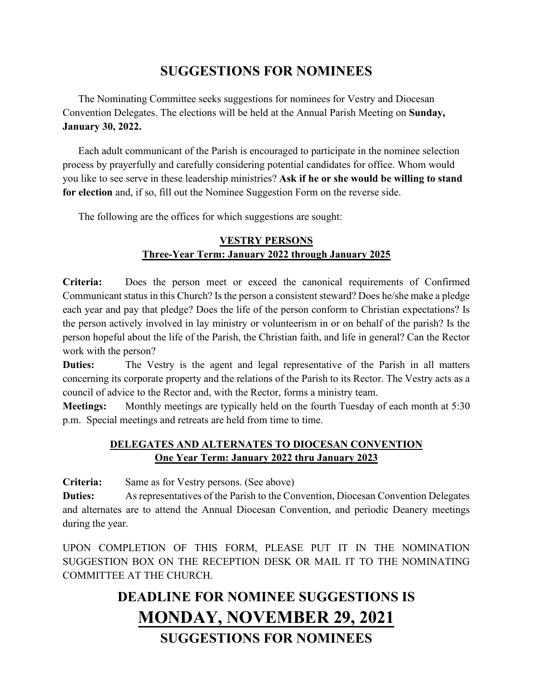# **SUGGESTIONS FOR NOMINEES**

The Nominating Committee seeks suggestions for nominees for Vestry and Diocesan Convention Delegates. The elections will be held at the Annual Parish Meeting on **Sunday, January 30, 2022.**

Each adult communicant of the Parish is encouraged to participate in the nominee selection process by prayerfully and carefully considering potential candidates for office. Whom would you like to see serve in these leadership ministries? **Ask if he or she would be willing to stand for election** and, if so, fill out the Nominee Suggestion Form on the reverse side.

The following are the offices for which suggestions are sought:

## **VESTRY PERSONS Three-Year Term: January 2022 through January 2025**

**Criteria:** Does the person meet or exceed the canonical requirements of Confirmed Communicant status in this Church? Is the person a consistent steward? Does he/she make a pledge each year and pay that pledge? Does the life of the person conform to Christian expectations? Is the person actively involved in lay ministry or volunteerism in or on behalf of the parish? Is the person hopeful about the life of the Parish, the Christian faith, and life in general? Can the Rector work with the person?

**Duties:** The Vestry is the agent and legal representative of the Parish in all matters concerning its corporate property and the relations of the Parish to its Rector. The Vestry acts as a council of advice to the Rector and, with the Rector, forms a ministry team.

**Meetings:** Monthly meetings are typically held on the fourth Tuesday of each month at 5:30 p.m. Special meetings and retreats are held from time to time.

## **DELEGATES AND ALTERNATES TO DIOCESAN CONVENTION One Year Term: January 2022 thru January 2023**

**Criteria:** Same as for Vestry persons. (See above)

**Duties:** As representatives of the Parish to the Convention, Diocesan Convention Delegates and alternates are to attend the Annual Diocesan Convention, and periodic Deanery meetings during the year.

UPON COMPLETION OF THIS FORM, PLEASE PUT IT IN THE NOMINATION SUGGESTION BOX ON THE RECEPTION DESK OR MAIL IT TO THE NOMINATING COMMITTEE AT THE CHURCH.

# **DEADLINE FOR NOMINEE SUGGESTIONS IS MONDAY, NOVEMBER 29, 2021 SUGGESTIONS FOR NOMINEES**